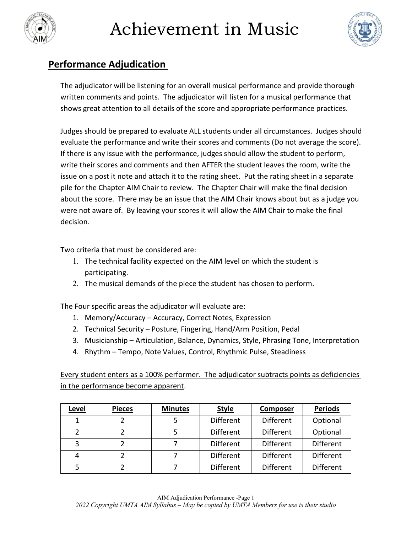



### **Performance Adjudication**

The adjudicator will be listening for an overall musical performance and provide thorough written comments and points. The adjudicator will listen for a musical performance that shows great attention to all details of the score and appropriate performance practices.

Judges should be prepared to evaluate ALL students under all circumstances. Judges should evaluate the performance and write their scores and comments (Do not average the score). If there is any issue with the performance, judges should allow the student to perform, write their scores and comments and then AFTER the student leaves the room, write the issue on a post it note and attach it to the rating sheet. Put the rating sheet in a separate pile for the Chapter AIM Chair to review. The Chapter Chair will make the final decision about the score. There may be an issue that the AIM Chair knows about but as a judge you were not aware of. By leaving your scores it will allow the AIM Chair to make the final decision.

Two criteria that must be considered are:

- 1. The technical facility expected on the AIM level on which the student is participating.
- 2. The musical demands of the piece the student has chosen to perform.

The Four specific areas the adjudicator will evaluate are:

- 1. Memory/Accuracy Accuracy, Correct Notes, Expression
- 2. Technical Security Posture, Fingering, Hand/Arm Position, Pedal
- 3. Musicianship Articulation, Balance, Dynamics, Style, Phrasing Tone, Interpretation
- 4. Rhythm Tempo, Note Values, Control, Rhythmic Pulse, Steadiness

Every student enters as a 100% performer. The adjudicator subtracts points as deficiencies in the performance become apparent.

| Level | <b>Pieces</b> | <b>Minutes</b> | <b>Style</b>     | Composer         | <b>Periods</b>   |
|-------|---------------|----------------|------------------|------------------|------------------|
|       |               |                | <b>Different</b> | <b>Different</b> | Optional         |
|       |               |                | <b>Different</b> | Different        | Optional         |
| 3     |               |                | <b>Different</b> | <b>Different</b> | <b>Different</b> |
|       |               |                | <b>Different</b> | <b>Different</b> | <b>Different</b> |
|       |               |                | <b>Different</b> | <b>Different</b> | <b>Different</b> |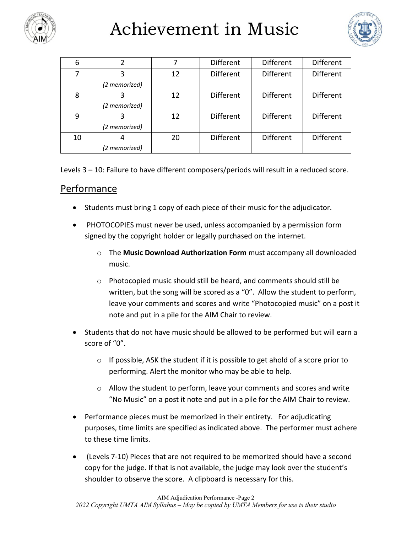

# Achievement in Music



| 6  |               |    | <b>Different</b> | <b>Different</b> | <b>Different</b> |
|----|---------------|----|------------------|------------------|------------------|
|    |               | 12 | <b>Different</b> | Different        | Different        |
|    | (2 memorized) |    |                  |                  |                  |
| 8  |               | 12 | <b>Different</b> | <b>Different</b> | <b>Different</b> |
|    | (2 memorized) |    |                  |                  |                  |
| 9  |               | 12 | <b>Different</b> | <b>Different</b> | <b>Different</b> |
|    | (2 memorized) |    |                  |                  |                  |
| 10 |               | 20 | <b>Different</b> | <b>Different</b> | Different        |
|    | (2 memorized) |    |                  |                  |                  |

Levels 3 – 10: Failure to have different composers/periods will result in a reduced score.

### Performance

- Students must bring 1 copy of each piece of their music for the adjudicator.
- PHOTOCOPIES must never be used, unless accompanied by a permission form signed by the copyright holder or legally purchased on the internet.
	- o The **Music Download Authorization Form** must accompany all downloaded music.
	- o Photocopied music should still be heard, and comments should still be written, but the song will be scored as a "0". Allow the student to perform, leave your comments and scores and write "Photocopied music" on a post it note and put in a pile for the AIM Chair to review.
- Students that do not have music should be allowed to be performed but will earn a score of "0".
	- $\circ$  If possible, ASK the student if it is possible to get ahold of a score prior to performing. Alert the monitor who may be able to help.
	- o Allow the student to perform, leave your comments and scores and write "No Music" on a post it note and put in a pile for the AIM Chair to review.
- Performance pieces must be memorized in their entirety. For adjudicating purposes, time limits are specified as indicated above. The performer must adhere to these time limits.
- (Levels 7-10) Pieces that are not required to be memorized should have a second copy for the judge. If that is not available, the judge may look over the student's shoulder to observe the score. A clipboard is necessary for this.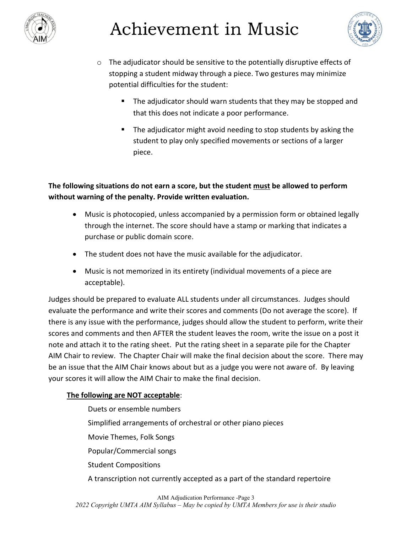

# Achievement in Music



- $\circ$  The adjudicator should be sensitive to the potentially disruptive effects of stopping a student midway through a piece. Two gestures may minimize potential difficulties for the student:
	- The adjudicator should warn students that they may be stopped and that this does not indicate a poor performance.
	- **The adjudicator might avoid needing to stop students by asking the** student to play only specified movements or sections of a larger piece.

**The following situations do not earn a score, but the student must be allowed to perform without warning of the penalty. Provide written evaluation.**

- Music is photocopied, unless accompanied by a permission form or obtained legally through the internet. The score should have a stamp or marking that indicates a purchase or public domain score.
- The student does not have the music available for the adjudicator.
- Music is not memorized in its entirety (individual movements of a piece are acceptable).

Judges should be prepared to evaluate ALL students under all circumstances. Judges should evaluate the performance and write their scores and comments (Do not average the score). If there is any issue with the performance, judges should allow the student to perform, write their scores and comments and then AFTER the student leaves the room, write the issue on a post it note and attach it to the rating sheet. Put the rating sheet in a separate pile for the Chapter AIM Chair to review. The Chapter Chair will make the final decision about the score. There may be an issue that the AIM Chair knows about but as a judge you were not aware of. By leaving your scores it will allow the AIM Chair to make the final decision.

#### **The following are NOT acceptable**:

Duets or ensemble numbers Simplified arrangements of orchestral or other piano pieces Movie Themes, Folk Songs Popular/Commercial songs Student Compositions A transcription not currently accepted as a part of the standard repertoire